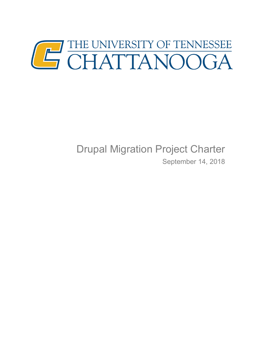

# Drupal Migration Project Charter

September 14, 2018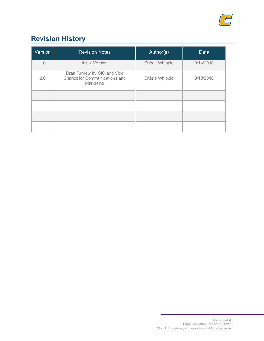

## **Revision History**

| Version | <b>Revision Notes</b>                                                             | Author(s)      | <b>Date</b> |
|---------|-----------------------------------------------------------------------------------|----------------|-------------|
| 1.0     | <b>Initial Version</b>                                                            | Chèrie Whipple | 9/14/2018   |
| 2.0     | Draft Review by CIO and Vice<br><b>Chancellor Communications and</b><br>Marketing | Chèrie Whipple | 9/18/2018   |
|         |                                                                                   |                |             |
|         |                                                                                   |                |             |
|         |                                                                                   |                |             |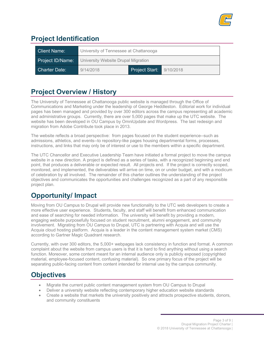

## **Project Identification**

| <b>Client Name:</b>  | University of Tennessee at Chattanooga |                          |  |  |
|----------------------|----------------------------------------|--------------------------|--|--|
| Project ID/Name:     | University Website Drupal Migration    |                          |  |  |
| <b>Charter Date:</b> | 9/14/2018                              | Project Start: 9/10/2018 |  |  |

#### **Project Overview / History**

The University of Tennessee at Chattanooga public website is managed through the Office of Communications and Marketing under the leadership of George Heddleston. Editorial work for individual pages has been managed and provided by over 300 editors across the campus representing all academic and administrative groups. Currently, there are over 5,000 pages that make up the UTC website. The website has been developed in OU Campus by OmniUpdate and Wordpress. The last redesign and migration from Adobe Contribute took place in 2013.

The website reflects a broad perspective: from pages focused on the student experience--such as admissions, athletics, and events--to repository-like pages housing departmental forms, processes, instructions, and links that may only be of interest or use to the members within a specific department.

The UTC Chancellor and Executive Leadership Team have initiated a formal project to move the campus website in a new direction. A project is defined as a series of tasks, with a recognized beginning and end point, that produces a deliverable or expected result. All projects end. If the project is correctly scoped, monitored, and implemented, the deliverables will arrive on time, on or under budget, and with a modicum of celebration by all involved. The remainder of this charter outlines the understanding of the project objectives and communicates the opportunities and challenges recognized as a part of any responsible project plan.

### **Opportunity/ Impact**

Moving from OU Campus to Drupal will provide new functionality to the UTC web developers to create a more effective user experience. Students, faculty, and staff will benefit from enhanced communication and ease of searching for needed information. The university will benefit by providing a modern, engaging website purposefully focused on student recruitment, alumni engagement, and community involvement. Migrating from OU Campus to Drupal, UTC is partnering with Acquia and will use the Acquia cloud hosting platform. Acquia is a leader in the content management system market (CMS) according to Gartner Magic Quadrant research.

Currently, with over 300 editors, the 5,000+ webpages lack consistency in function and format. A common complaint about the website from campus users is that it is hard to find anything without using a search function. Moreover, some content meant for an internal audience only is publicly exposed (copyrighted material, employee-focused content, confusing material). So one primary focus of the project will be separating public-facing content from content intended for internal use by the campus community.

#### **Objectives**

- Migrate the current public content management system from OU Campus to Drupal
- Deliver a university website reflecting contemporary higher education website standards
- Create a website that markets the university positively and attracts prospective students, donors, and community constituents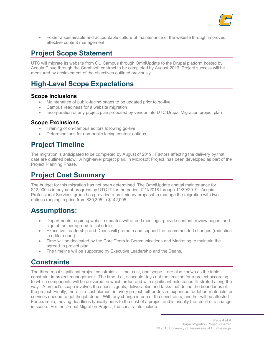

• Foster a sustainable and accountable culture of maintenance of the website through improved, effective content management

#### **Project Scope Statement**

UTC will migrate its website from OU Campus through OmniUpdate to the Drupal platform hosted by Acquia Cloud through the Carahsoft contract to be completed by August 2019. Project success will be measured by achievement of the objectives outlined previously.

#### **High-Level Scope Expectations**

#### **Scope Inclusions**

- Maintenance of public-facing pages to be updated prior to go-live
- Campus readiness for a website migration
- Incorporation of any project plan proposed by vendor into UTC Drupal Migration project plan

#### **Scope Exclusions**

- Training of on-campus editors following go-live
- Determinations for non-public facing content options

#### **Project Timeline**

The migration is anticipated to be completed by August of 2019. Factors affecting the delivery by that date are outlined below. A high-level project plan, in Microsoft Project, has been developed as part of the Project Planning Phase.

#### **Project Cost Summary**

The budget for this migration has not been determined. The OmniUpdate annual maintenance for \$12,000 is in payment progress by UTC IT for the period 12/1/2018 through 11/30/2019. Acquia Professional Services group has provided a preliminary proposal to manage the migration with two options ranging in price from \$80,395 to \$142,095.

#### **Assumptions:**

- Departments requiring website updates will attend meetings, provide content, review pages, and sign off as per agreed-to schedule.
- Executive Leadership and Deans will promote and support the recommended changes (reduction in editor count).
- Time will be dedicated by the Core Team in Communications and Marketing to maintain the agreed-to project plan.
- The timeline will be supported by Executive Leadership and the Deans.

#### **Constraints**

The three most significant project constraints – time, cost, and scope – are also known as the triple constraint in project management. The time--i.e., schedule--lays out the timeline for a project according to which components will be delivered, in which order, and with significant milestones illustrated along the way. A project's scope involves the specific goals, deliverables and tasks that define the boundaries of the project. Finally, there is a cost element in every project, either dollars expended for labor, materials, or services needed to get the job done. With any change in one of the constraints, another will be affected. For example, moving deadlines typically adds to the cost of a project and is usually the result of a change in scope. For the Drupal Migration Project, the constraints include: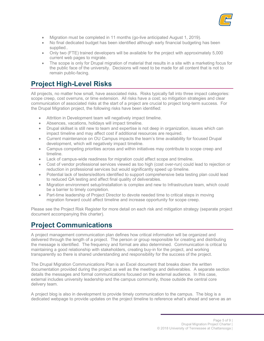

- Migration must be completed in 11 months (go-live anticipated August 1, 2019).
- No final dedicated budget has been identified although early financial budgeting has been supplied..
- Only two (FTE) trained developers will be available for the project with approximately 5,000 current web pages to migrate.
- The scope is only for Drupal migration of material that results in a site with a marketing focus for the public face of the university. Decisions will need to be made for all content that is not to remain public-facing.

#### **Project High-Level Risks**

All projects, no matter how small, have associated risks. Risks typically fall into three impact categories: scope creep, cost overruns, or time extension. All risks have a cost; so mitigation strategies and clear communication of associated risks at the start of a project are crucial to project long-term success. For the Drupal Migration project, the following risks have been identified:

- Attrition in Development team will negatively impact timeline.
- Absences, vacations, holidays will impact timeline.
- Drupal skillset is still new to team and expertise is not deep in organization, issues which can impact timeline and may affect cost if additional resources are required.
- Current maintenance on OU Campus impacts the team's time availability for focused Drupal development, which will negatively impact timeline.
- Campus competing priorities across and within initiatives may contribute to scope creep and timeline.
- Lack of campus-wide readiness for migration could affect scope and timeline.
- Cost of vendor professional services viewed as too high (cost over-run) could lead to rejection or reduction in professional services but would significantly speed up timeline.
- Potential lack of testers/editors identified to support comprehensive beta testing plan could lead to reduced QA testing and affect final quality of deliverables.
- Migration environment setup/installation is complex and new to Infrastructure team, which could be a barrier to timely completion.
- Part-time leadership of Project Director to devote needed time to critical steps in moving migration forward could affect timeline and increase opportunity for scope creep.

Please see the Project Risk Register for more detail on each risk and mitigation strategy (separate project document accompanying this charter).

### **Project Communications**

A project management communication plan defines how critical information will be organized and delivered through the length of a project. The person or group responsible for creating and distributing the message is identified. The frequency and format are also determined. Communication is critical to maintaining a good relationship with stakeholders, creating buy-in for the project, and working transparently so there is shared understanding and responsibility for the success of the project.

The Drupal Migration Communications Plan is an Excel document that breaks down the written documentation provided during the project as well as the meetings and deliverables. A separate section details the messages and formal communications focused on the external audience. In this case, external includes university leadership and the campus community, those outside the central core delivery team.

A project blog is also in development to provide timely communication to the campus. The blog is a dedicated webpage to provide updates on the project timeline to reference what's ahead and serve as an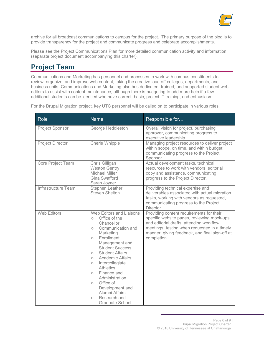

archive for all broadcast communications to campus for the project. The primary purpose of the blog is to provide transparency for the project and communicate progress and celebrate accomplishments.

Please see the Project Communications Plan for more detailed communication activity and information (separate project document accompanying this charter).

### **Project Team**

Communications and Marketing has personnel and processes to work with campus constituents to review, organize, and improve web content, taking the creative load off colleges, departments, and business units. Communications and Marketing also has dedicated, trained, and supported student web editors to assist with content maintenance, although there is budgeting to add more help if a few additional students can be identied who have correct, basic, project IT training, and enthusiasm.

For the Drupal Migration project, key UTC personnel will be called on to participate in various roles.

| Role                    | <b>Name</b>                                                                                                                                                                                                                                                                                                                                                                                                                                                                              | Responsible for                                                                                                                                                                                                                                     |
|-------------------------|------------------------------------------------------------------------------------------------------------------------------------------------------------------------------------------------------------------------------------------------------------------------------------------------------------------------------------------------------------------------------------------------------------------------------------------------------------------------------------------|-----------------------------------------------------------------------------------------------------------------------------------------------------------------------------------------------------------------------------------------------------|
| <b>Project Sponsor</b>  | George Heddleston                                                                                                                                                                                                                                                                                                                                                                                                                                                                        | Overall vision for project, purchasing<br>approver, communicating progress to<br>executive leadership.                                                                                                                                              |
| <b>Project Director</b> | Chèrie Whipple                                                                                                                                                                                                                                                                                                                                                                                                                                                                           | Managing project resources to deliver project<br>within scope, on time, and within budget;<br>communicating progress to the Project<br>Sponsor.                                                                                                     |
| Core Project Team       | Chris Gilligan<br><b>Weston Gentry</b><br>Michael Miller<br>Gina Swafford<br>Sarah Joyner                                                                                                                                                                                                                                                                                                                                                                                                | Actual development tasks, technical<br>resources to work with vendors, editorial<br>copy and assistance, communicating<br>progress to the Project Director.                                                                                         |
| Infrastructure Team     | <b>Stephen Leather</b><br><b>Steven Shelton</b>                                                                                                                                                                                                                                                                                                                                                                                                                                          | Providing technical expertise and<br>deliverables associated with actual migration<br>tasks, working with vendors as requested,<br>communicating progress to the Project<br>Director.                                                               |
| <b>Web Editors</b>      | Web Editors and Liaisons<br>Office of the<br>$\bigcirc$<br>Chancellor<br>Communication and<br>$\circ$<br>Marketing<br>Enrollment<br>$\circ$<br>Management and<br><b>Student Success</b><br><b>Student Affairs</b><br>$\circ$<br><b>Academic Affairs</b><br>$\circ$<br>Intercollegiate<br>$\circ$<br><b>Athletics</b><br>Finance and<br>$\bigcirc$<br>Administration<br>Office of<br>$\bigcirc$<br>Development and<br>Alumni Affairs<br>Research and<br>$\circ$<br><b>Graduate School</b> | Providing content requirements for their<br>specific website pages, reviewing mock-ups<br>and editorial drafts, attending workflow<br>meetings, testing when requested in a timely<br>manner, giving feedback, and final sign-off at<br>completion. |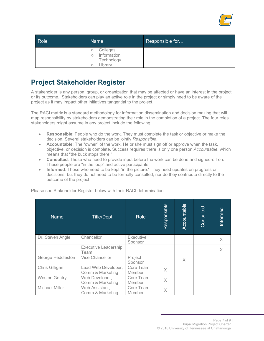

| Role | Name                                                  | Responsible for |
|------|-------------------------------------------------------|-----------------|
|      | Colleges<br>O<br>Information<br>Technology<br>∟ibrary |                 |

#### **Project Stakeholder Register**

A stakeholder is any person, group, or organization that may be affected or have an interest in the project or its outcome. Stakeholders can play an active role in the project or simply need to be aware of the project as it may impact other initiatives tangential to the project.

The RACI matrix is a standard methodology for information dissemination and decision making that will map responsibility by stakeholders demonstrating their role in the completion of a project. The four roles stakeholders might assume in any project include the following:

- **Responsible**: People who do the work. They must complete the task or objective or make the decision. Several stakeholders can be jointly *Responsible*.
- **Accountable**: The "owner" of the work. He or she must sign off or approve when the task, objective, or decision is complete. Success requires there is only one person *Accountable*, which means that "the buck stops there."
- **Consulted**: Those who need to provide input before the work can be done and signed-off on. These people are "in the loop" and active participants.
- **Informed**: Those who need to be kept "in the picture." They need updates on progress or decisions, but they do not need to be formally consulted, nor do they contribute directly to the outcome of the project.

| <b>Name</b>          | <b>Title/Dept</b>                       | <b>Role</b>                 | Responsible | Accountable | Consulted | Informed |
|----------------------|-----------------------------------------|-----------------------------|-------------|-------------|-----------|----------|
| Dr. Steven Angle     | Chancellor                              | <b>Executive</b><br>Sponsor |             |             |           | X.       |
|                      | <b>Executive Leadership</b><br>Team     |                             |             |             |           | $\times$ |
| George Heddleston    | Vice Chancellor                         | Project<br>Sponsor          |             | $\times$    |           |          |
| Chris Gilligan       | Lead Web Developer,<br>Comm & Marketing | Core Team<br>Member         | $\times$    |             |           |          |
| <b>Weston Gentry</b> | Web Developer,<br>Comm & Marketing      | Core Team<br>Member         | $\times$    |             |           |          |
| Michael Miller       | Web Assistant,<br>Comm & Marketing      | Core Team<br>Member         | Χ           |             |           |          |

Please see Stakeholder Register below with their RACI determination.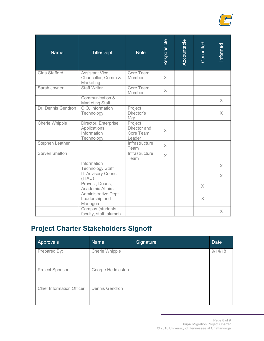

| <b>Name</b>           | <b>Title/Dept</b>                                                  | <b>Role</b>                                    | Responsible | Accountable | Consulted | <b>Informed</b> |
|-----------------------|--------------------------------------------------------------------|------------------------------------------------|-------------|-------------|-----------|-----------------|
| Gina Stafford         | <b>Assistant Vice</b><br>Chancellor, Comm &<br>Marketing           | Core Team<br>Member                            | $\times$    |             |           |                 |
| Sarah Joyner          | <b>Staff Writer</b>                                                | Core Team<br>Member                            | $\times$    |             |           |                 |
|                       | Communication &<br><b>Marketing Staff</b>                          |                                                |             |             |           | $\times$        |
| Dr. Dennis Gendron    | CIO, Information<br>Technology                                     | Project<br>Director's<br>Mgr.                  |             |             |           | $\times$        |
| Chèrie Whipple        | Director, Enterprise<br>Applications,<br>Information<br>Technology | Project<br>Director and<br>Core Team<br>Leader | $\times$    |             |           |                 |
| Stephen Leather       |                                                                    | Infrastructure<br>Team                         | $\times$    |             |           |                 |
| <b>Steven Shelton</b> |                                                                    | Infrastructure<br>Team                         | $\times$    |             |           |                 |
|                       | Information<br><b>Technology Staff</b>                             |                                                |             |             |           | $\times$        |
|                       | <b>IT Advisory Council</b><br>(ITAC)                               |                                                |             |             |           | $\times$        |
|                       | Provost, Deans,<br><b>Academic Affairs</b>                         |                                                |             |             | X         |                 |
|                       | Administrative Dept.<br>Leadership and<br>Managers                 |                                                |             |             | $\times$  |                 |
|                       | Campus (students,<br>faculty, staff, alumni)                       |                                                |             |             |           | X               |

# **Project Charter Stakeholders Signoff**

| Approvals                         | Name              | Signature | <b>Date</b> |
|-----------------------------------|-------------------|-----------|-------------|
| Prepared By:                      | Chèrie Whipple    |           | 9/14/18     |
| Project Sponsor:                  | George Heddleston |           |             |
| <b>Chief Information Officer:</b> | Dennis Gendron    |           |             |